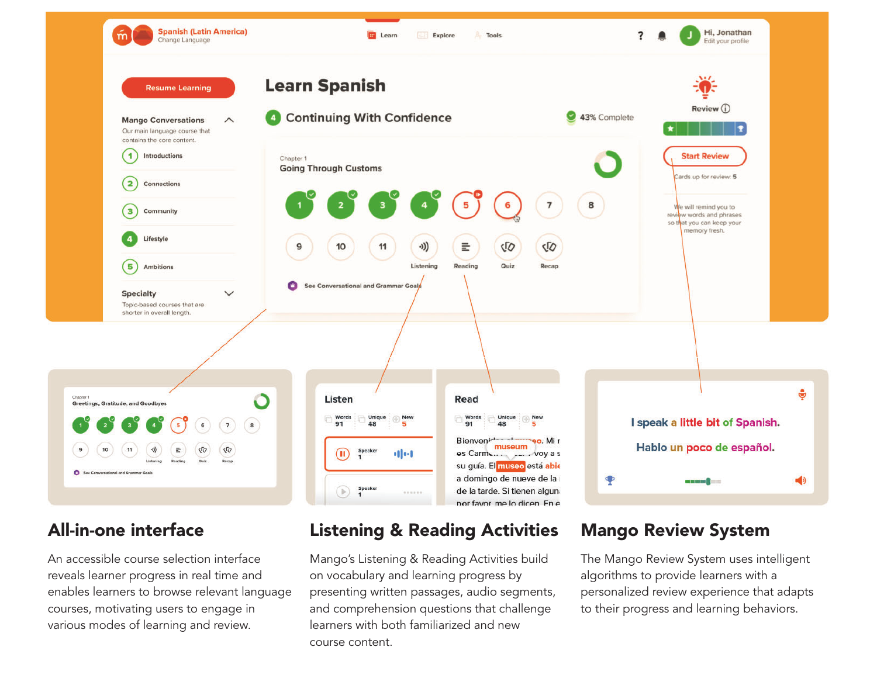

### **All-in-one interface**

An accessible course selection interfacereveals learner progress in real time and enables learners to browse relevant language courses, motivating users to engage in various modes of learning and review.

## **Listening & Reading Activities**

Mango's Listening & Reading Activities build on vocabulary and learning progress by presenting written passages, audio segments, and comprehension questions that challenge learners with both familiarized and new course content.

### **Mango Review System**

The Mango Review System uses intelligent algorithms to provide learners with a personalized review experience that adapts to their progress and learning behaviors.